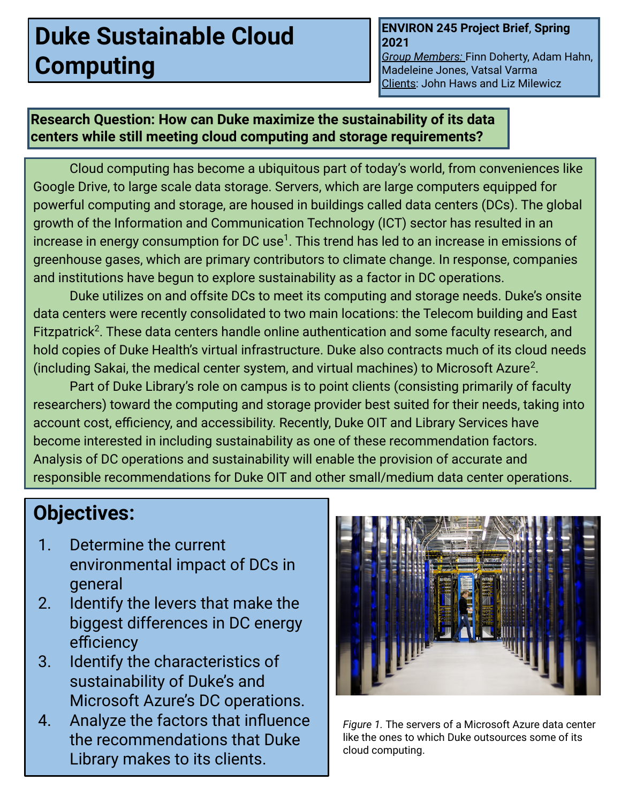# **Duke Sustainable Cloud Computing**

#### **ENVIRON 245 Project Brief**, **Spring 2021**

*Group Members:* Finn Doherty, Adam Hahn, Madeleine Jones, Vatsal Varma Clients: John Haws and Liz Milewicz

### **Research Question: How can Duke maximize the sustainability of its data centers while still meeting cloud computing and storage requirements?**

Cloud computing has become a ubiquitous part of today's world, from conveniences like Google Drive, to large scale data storage. Servers, which are large computers equipped for powerful computing and storage, are housed in buildings called data centers (DCs). The global growth of the Information and Communication Technology (ICT) sector has resulted in an increase in energy consumption for DC use $^1$ . This trend has led to an increase in emissions of greenhouse gases, which are primary contributors to climate change. In response, companies and institutions have begun to explore sustainability as a factor in DC operations.

Duke utilizes on and offsite DCs to meet its computing and storage needs. Duke's onsite data centers were recently consolidated to two main locations: the Telecom building and East Fitzpatrick<sup>2</sup>. These data centers handle online authentication and some faculty research, and hold copies of Duke Health's virtual infrastructure. Duke also contracts much of its cloud needs (including Sakai, the medical center system, and virtual machines) to Microsoft Azure<sup>2</sup>.

Part of Duke Library's role on campus is to point clients (consisting primarily of faculty researchers) toward the computing and storage provider best suited for their needs, taking into account cost, efficiency, and accessibility. Recently, Duke OIT and Library Services have become interested in including sustainability as one of these recommendation factors. Analysis of DC operations and sustainability will enable the provision of accurate and responsible recommendations for Duke OIT and other small/medium data center operations.

# **Objectives:**

- 1. Determine the current environmental impact of DCs in general
- 2. Identify the levers that make the biggest differences in DC energy efficiency
- 3. Identify the characteristics of sustainability of Duke's and Microsoft Azure's DC operations.
- 4. Analyze the factors that influence the recommendations that Duke Library makes to its clients.



*Figure 1.* The servers of a Microsoft Azure data center like the ones to which Duke outsources some of its cloud computing.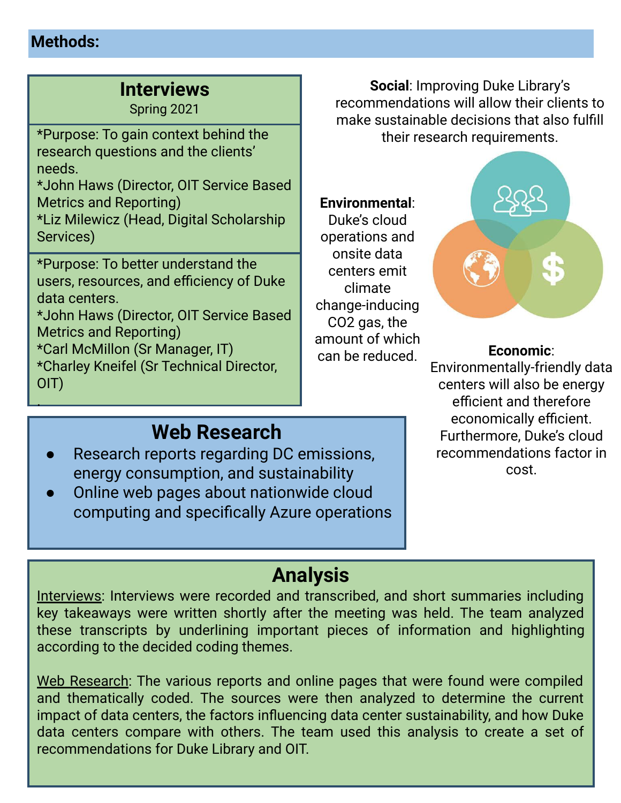## **Methods:**

.

# **Interviews**

Spring 2021

\*Purpose: To gain context behind the research questions and the clients' needs.

\*John Haws (Director, OIT Service Based Metrics and Reporting)

\*Liz Milewicz (Head, Digital Scholarship Services)

. \*Purpose: To better understand the users, resources, and efficiency of Duke data centers.

\*John Haws (Director, OIT Service Based Metrics and Reporting)

\*Carl McMillon (Sr Manager, IT) \*Charley Kneifel (Sr Technical Director, OIT)

**Social**: Improving Duke Library's recommendations will allow their clients to make sustainable decisions that also fulfill their research requirements.

### **Environmental**:

Duke's cloud operations and onsite data centers emit climate change-inducing CO2 gas, the amount of which can be reduced.



### **Economic**:

Environmentally-friendly data centers will also be energy efficient and therefore economically efficient. Furthermore, Duke's cloud recommendations factor in cost.

# **Web Research**

- Research reports regarding DC emissions, energy consumption, and sustainability
- Online web pages about nationwide cloud computing and specifically Azure operations

# **Analysis**

Interviews: Interviews were recorded and transcribed, and short summaries including key takeaways were written shortly after the meeting was held. The team analyzed these transcripts by underlining important pieces of information and highlighting according to the decided coding themes.

Web Research: The various reports and online pages that were found were compiled and thematically coded. The sources were then analyzed to determine the current impact of data centers, the factors influencing data center sustainability, and how Duke data centers compare with others. The team used this analysis to create a set of recommendations for Duke Library and OIT.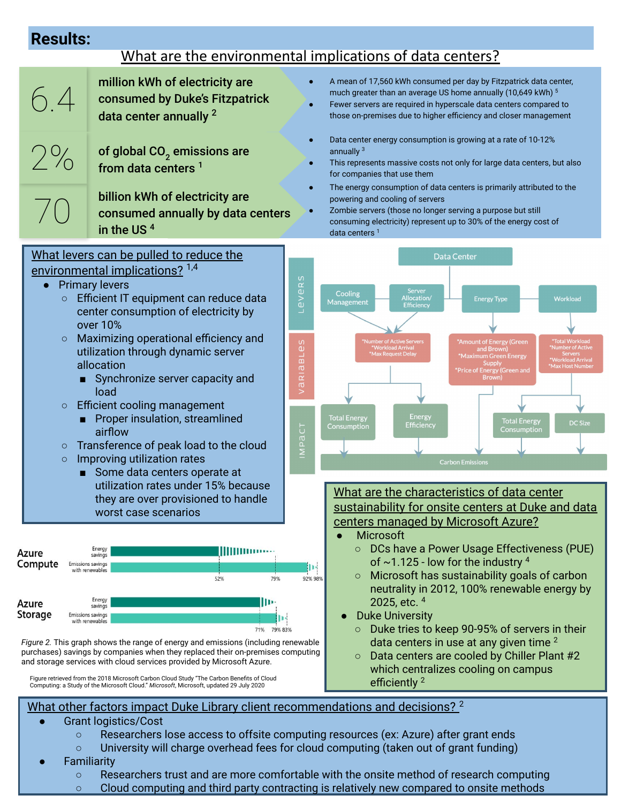## **Results:**

# What are the environmental implications of data centers?

| THE GIV CITY CHANGE CHANGE COMMISSIONS OF GUID CONTROLS.                                                                                                                                                                                                                                                                                       |                                                                                                                             |                                                                                                                                                                                                                                                                                               |                                                                                                                                                                                                                                                                            |
|------------------------------------------------------------------------------------------------------------------------------------------------------------------------------------------------------------------------------------------------------------------------------------------------------------------------------------------------|-----------------------------------------------------------------------------------------------------------------------------|-----------------------------------------------------------------------------------------------------------------------------------------------------------------------------------------------------------------------------------------------------------------------------------------------|----------------------------------------------------------------------------------------------------------------------------------------------------------------------------------------------------------------------------------------------------------------------------|
| 6.4                                                                                                                                                                                                                                                                                                                                            | million kWh of electricity are<br>consumed by Duke's Fitzpatrick<br>data center annually <sup>2</sup>                       |                                                                                                                                                                                                                                                                                               | A mean of 17,560 kWh consumed per day by Fitzpatrick data center,<br>much greater than an average US home annually (10,649 kWh) 5<br>Fewer servers are required in hyperscale data centers compared to<br>those on-premises due to higher efficiency and closer management |
| 2%                                                                                                                                                                                                                                                                                                                                             | of global $CO2$ emissions are<br>from data centers <sup>1</sup>                                                             |                                                                                                                                                                                                                                                                                               | Data center energy consumption is growing at a rate of 10-12%<br>annually $3$<br>This represents massive costs not only for large data centers, but also<br>for companies that use them<br>The energy consumption of data centers is primarily attributed to the           |
|                                                                                                                                                                                                                                                                                                                                                | billion kWh of electricity are<br>consumed annually by data centers<br>in the US <sup>4</sup>                               |                                                                                                                                                                                                                                                                                               | powering and cooling of servers<br>Zombie servers (those no longer serving a purpose but still<br>consuming electricity) represent up to 30% of the energy cost of<br>data centers $1$                                                                                     |
| What levers can be pulled to reduce the<br>environmental implications? <sup>1,4</sup><br>evers<br><b>Primary levers</b><br>Efficient IT equipment can reduce data<br>$\circ$<br>center consumption of electricity by<br>⊐<br>over 10%                                                                                                          |                                                                                                                             | <b>Data Center</b><br>Server<br>Cooling<br>Allocation/<br>Workload<br><b>Energy Type</b><br>Management<br>Efficiency                                                                                                                                                                          |                                                                                                                                                                                                                                                                            |
| Maximizing operational efficiency and<br>$\circ$<br><b>BLes</b><br>utilization through dynamic server<br>allocation<br>RIA<br>Synchronize server capacity and<br>$\overline{a}$<br>load<br>Efficient cooling management<br>$\circ$                                                                                                             |                                                                                                                             | <b>Total Workload</b><br>*Number of Active Servers<br>*Amount of Energy (Green<br>*Workload Arrival<br>Number of Active<br>and Brown)<br>*Max Request Delay<br>*Maximum Green Energy<br>*Workload Arrival<br>*Max Host Number<br><b>Supply</b><br>*Price of Energy (Green and<br><b>Brown</b> |                                                                                                                                                                                                                                                                            |
| Proper insulation, streamlined<br>$\overline{C}$<br>airflow<br><b>IMP</b><br>Transference of peak load to the cloud<br>$\circ$<br>Improving utilization rates<br>$\circ$<br>Some data centers operate at<br>utilization rates under 15% because<br>they are over provisioned to handle<br>worst case scenarios                                 |                                                                                                                             | Energy<br><b>Total Energy</b><br><b>Total Energy</b><br><b>DC Size</b><br>Efficiency<br>Consumption<br>Consumption<br><b>Carbon Emissions</b>                                                                                                                                                 |                                                                                                                                                                                                                                                                            |
|                                                                                                                                                                                                                                                                                                                                                |                                                                                                                             | What are the characteristics of data center<br>sustainability for onsite centers at Duke and data<br>centers managed by Microsoft Azure?<br>Microsoft                                                                                                                                         |                                                                                                                                                                                                                                                                            |
| Azure<br>Compute<br><b>Emissions savings</b><br>with renewables                                                                                                                                                                                                                                                                                | Energy<br><b>IIIIIIIIIIIIII</b> IIIIII<br>savings<br>79%<br>52%                                                             | I۱۰<br>92% 98%                                                                                                                                                                                                                                                                                | DCs have a Power Usage Effectiveness (PUE)<br>$\circ$<br>of $\sim$ 1.125 - low for the industry $4$<br>Microsoft has sustainability goals of carbon<br>$\circ$<br>neutrality in 2012, 100% renewable energy by                                                             |
| Azure<br>Storage<br><b>Emissions savings</b><br>with renewables                                                                                                                                                                                                                                                                                | Energy<br>Ш۰<br>savings<br>71% 79% 83%<br>Figure 2. This graph shows the range of energy and emissions (including renewable |                                                                                                                                                                                                                                                                                               | 2025, etc. $4$<br><b>Duke University</b><br>Duke tries to keep 90-95% of servers in their<br>$\circ$<br>data centers in use at any given time <sup>2</sup>                                                                                                                 |
| purchases) savings by companies when they replaced their on-premises computing<br>and storage services with cloud services provided by Microsoft Azure.<br>Figure retrieved from the 2018 Microsoft Carbon Cloud Study "The Carbon Benefits of Cloud<br>Computing: a Study of the Microsoft Cloud." Microsoft, Microsoft, updated 29 July 2020 |                                                                                                                             | Data centers are cooled by Chiller Plant #2<br>$\circ$<br>which centralizes cooling on campus<br>efficiently <sup>2</sup>                                                                                                                                                                     |                                                                                                                                                                                                                                                                            |

What other factors impact Duke Library client recommendations and decisions?<sup>2</sup>

- **Grant logistics/Cost** 
	- Researchers lose access to offsite computing resources (ex: Azure) after grant ends
	- University will charge overhead fees for cloud computing (taken out of grant funding)
- **Familiarity** 
	- Researchers trust and are more comfortable with the onsite method of research computing
	- Cloud computing and third party contracting is relatively new compared to onsite methods